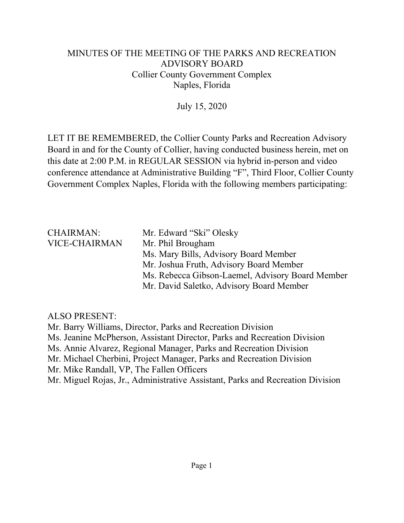## MINUTES OF THE MEETING OF THE PARKS AND RECREATION ADVISORY BOARD Collier County Government Complex Naples, Florida

July 15, 2020

LET IT BE REMEMBERED, the Collier County Parks and Recreation Advisory Board in and for the County of Collier, having conducted business herein, met on this date at 2:00 P.M. in REGULAR SESSION via hybrid in-person and video conference attendance at Administrative Building "F", Third Floor, Collier County Government Complex Naples, Florida with the following members participating:

| <b>CHAIRMAN:</b>     | Mr. Edward "Ski" Olesky                          |
|----------------------|--------------------------------------------------|
| <b>VICE-CHAIRMAN</b> | Mr. Phil Brougham                                |
|                      | Ms. Mary Bills, Advisory Board Member            |
|                      | Mr. Joshua Fruth, Advisory Board Member          |
|                      | Ms. Rebecca Gibson-Laemel, Advisory Board Member |
|                      | Mr. David Saletko, Advisory Board Member         |

# ALSO PRESENT:

Mr. Barry Williams, Director, Parks and Recreation Division Ms. Jeanine McPherson, Assistant Director, Parks and Recreation Division Ms. Annie Alvarez, Regional Manager, Parks and Recreation Division Mr. Michael Cherbini, Project Manager, Parks and Recreation Division Mr. Mike Randall, VP, The Fallen Officers Mr. Miguel Rojas, Jr., Administrative Assistant, Parks and Recreation Division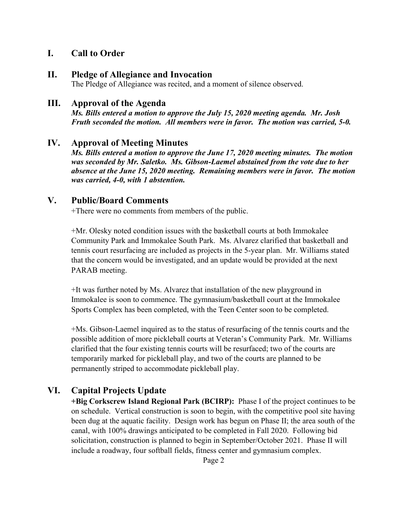## **I. Call to Order**

#### **II. Pledge of Allegiance and Invocation**

The Pledge of Allegiance was recited, and a moment of silence observed.

#### **III. Approval of the Agenda**

*Ms. Bills entered a motion to approve the July 15, 2020 meeting agenda. Mr. Josh Fruth seconded the motion. All members were in favor. The motion was carried, 5-0.* 

## **IV. Approval of Meeting Minutes**

*Ms. Bills entered a motion to approve the June 17, 2020 meeting minutes. The motion was seconded by Mr. Saletko. Ms. Gibson-Laemel abstained from the vote due to her absence at the June 15, 2020 meeting. Remaining members were in favor. The motion was carried, 4-0, with 1 abstention.* 

## **V. Public/Board Comments**

+There were no comments from members of the public.

+Mr. Olesky noted condition issues with the basketball courts at both Immokalee Community Park and Immokalee South Park. Ms. Alvarez clarified that basketball and tennis court resurfacing are included as projects in the 5-year plan. Mr. Williams stated that the concern would be investigated, and an update would be provided at the next PARAB meeting.

+It was further noted by Ms. Alvarez that installation of the new playground in Immokalee is soon to commence. The gymnasium/basketball court at the Immokalee Sports Complex has been completed, with the Teen Center soon to be completed.

+Ms. Gibson-Laemel inquired as to the status of resurfacing of the tennis courts and the possible addition of more pickleball courts at Veteran's Community Park. Mr. Williams clarified that the four existing tennis courts will be resurfaced; two of the courts are temporarily marked for pickleball play, and two of the courts are planned to be permanently striped to accommodate pickleball play.

# **VI. Capital Projects Update**

**+Big Corkscrew Island Regional Park (BCIRP):** Phase I of the project continues to be on schedule. Vertical construction is soon to begin, with the competitive pool site having been dug at the aquatic facility. Design work has begun on Phase II; the area south of the canal, with 100% drawings anticipated to be completed in Fall 2020. Following bid solicitation, construction is planned to begin in September/October 2021. Phase II will include a roadway, four softball fields, fitness center and gymnasium complex.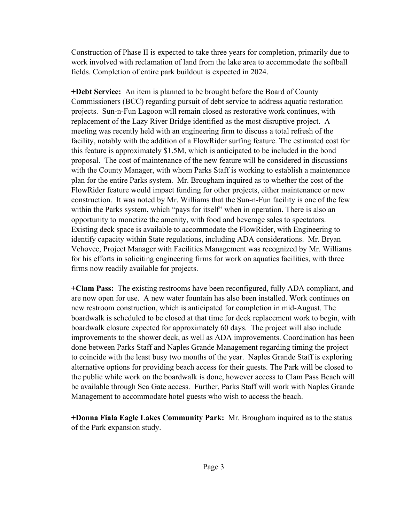Construction of Phase II is expected to take three years for completion, primarily due to work involved with reclamation of land from the lake area to accommodate the softball fields. Completion of entire park buildout is expected in 2024.

**+Debt Service:** An item is planned to be brought before the Board of County Commissioners (BCC) regarding pursuit of debt service to address aquatic restoration projects. Sun-n-Fun Lagoon will remain closed as restorative work continues, with replacement of the Lazy River Bridge identified as the most disruptive project. A meeting was recently held with an engineering firm to discuss a total refresh of the facility, notably with the addition of a FlowRider surfing feature. The estimated cost for this feature is approximately \$1.5M, which is anticipated to be included in the bond proposal. The cost of maintenance of the new feature will be considered in discussions with the County Manager, with whom Parks Staff is working to establish a maintenance plan for the entire Parks system. Mr. Brougham inquired as to whether the cost of the FlowRider feature would impact funding for other projects, either maintenance or new construction. It was noted by Mr. Williams that the Sun-n-Fun facility is one of the few within the Parks system, which "pays for itself" when in operation. There is also an opportunity to monetize the amenity, with food and beverage sales to spectators. Existing deck space is available to accommodate the FlowRider, with Engineering to identify capacity within State regulations, including ADA considerations. Mr. Bryan Vehovec, Project Manager with Facilities Management was recognized by Mr. Williams for his efforts in soliciting engineering firms for work on aquatics facilities, with three firms now readily available for projects.

**+Clam Pass:** The existing restrooms have been reconfigured, fully ADA compliant, and are now open for use. A new water fountain has also been installed. Work continues on new restroom construction, which is anticipated for completion in mid-August. The boardwalk is scheduled to be closed at that time for deck replacement work to begin, with boardwalk closure expected for approximately 60 days. The project will also include improvements to the shower deck, as well as ADA improvements. Coordination has been done between Parks Staff and Naples Grande Management regarding timing the project to coincide with the least busy two months of the year. Naples Grande Staff is exploring alternative options for providing beach access for their guests. The Park will be closed to the public while work on the boardwalk is done, however access to Clam Pass Beach will be available through Sea Gate access. Further, Parks Staff will work with Naples Grande Management to accommodate hotel guests who wish to access the beach.

**+Donna Fiala Eagle Lakes Community Park:** Mr. Brougham inquired as to the status of the Park expansion study.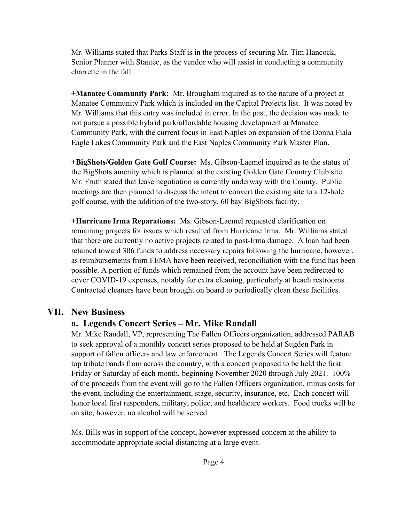Mr. Williams stated that Parks Staff is in the process of securing Mr. Tim Hancock, Senior Planner with Stantec, as the vendor who will assist in conducting a community charrette in the fall.

**+Manatee Community Park:** Mr. Brougham inquired as to the nature of a project at Manatee Community Park which is included on the Capital Projects list. It was noted by Mr. Williams that this entry was included in error. In the past, the decision was made to not pursue a possible hybrid park/affordable housing development at Manatee Community Park, with the current focus in East Naples on expansion of the Donna Fiala Eagle Lakes Community Park and the East Naples Community Park Master Plan.

**+BigShots/Golden Gate Golf Course:** Ms. Gibson-Laemel inquired as to the status of the BigShots amenity which is planned at the existing Golden Gate Country Club site. Mr. Fruth stated that lease negotiation is currently underway with the County. Public meetings are then planned to discuss the intent to convert the existing site to a 12-hole golf course, with the addition of the two-story, 60 bay BigShots facility.

**+Hurricane Irma Reparations:** Ms. Gibson-Laemel requested clarification on remaining projects for issues which resulted from Hurricane Irma. Mr. Williams stated that there are currently no active projects related to post-Irma damage. A loan had been retained toward 306 funds to address necessary repairs following the hurricane, however, as reimbursements from FEMA have been received, reconciliation with the fund has been possible. A portion of funds which remained from the account have been redirected to cover COVID-19 expenses, notably for extra cleaning, particularly at beach restrooms. Contracted cleaners have been brought on board to periodically clean these facilities.

#### **VII. New Business**

#### **a. Legends Concert Series – Mr. Mike Randall**

Mr. Mike Randall, VP, representing The Fallen Officers organization, addressed PARAB to seek approval of a monthly concert series proposed to be held at Sugden Park in support of fallen officers and law enforcement. The Legends Concert Series will feature top tribute bands from across the country, with a concert proposed to be held the first Friday or Saturday of each month, beginning November 2020 through July 2021. 100% of the proceeds from the event will go to the Fallen Officers organization, minus costs for the event, including the entertainment, stage, security, insurance, etc. Each concert will honor local first responders, military, police, and healthcare workers. Food trucks will be on site; however, no alcohol will be served.

Ms. Bills was in support of the concept, however expressed concern at the ability to accommodate appropriate social distancing at a large event.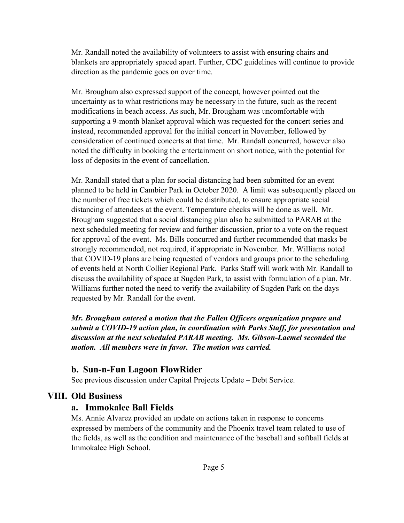Mr. Randall noted the availability of volunteers to assist with ensuring chairs and blankets are appropriately spaced apart. Further, CDC guidelines will continue to provide direction as the pandemic goes on over time.

Mr. Brougham also expressed support of the concept, however pointed out the uncertainty as to what restrictions may be necessary in the future, such as the recent modifications in beach access. As such, Mr. Brougham was uncomfortable with supporting a 9-month blanket approval which was requested for the concert series and instead, recommended approval for the initial concert in November, followed by consideration of continued concerts at that time. Mr. Randall concurred, however also noted the difficulty in booking the entertainment on short notice, with the potential for loss of deposits in the event of cancellation.

Mr. Randall stated that a plan for social distancing had been submitted for an event planned to be held in Cambier Park in October 2020. A limit was subsequently placed on the number of free tickets which could be distributed, to ensure appropriate social distancing of attendees at the event. Temperature checks will be done as well. Mr. Brougham suggested that a social distancing plan also be submitted to PARAB at the next scheduled meeting for review and further discussion, prior to a vote on the request for approval of the event. Ms. Bills concurred and further recommended that masks be strongly recommended, not required, if appropriate in November. Mr. Williams noted that COVID-19 plans are being requested of vendors and groups prior to the scheduling of events held at North Collier Regional Park. Parks Staff will work with Mr. Randall to discuss the availability of space at Sugden Park, to assist with formulation of a plan. Mr. Williams further noted the need to verify the availability of Sugden Park on the days requested by Mr. Randall for the event.

*Mr. Brougham entered a motion that the Fallen Officers organization prepare and submit a COVID-19 action plan, in coordination with Parks Staff, for presentation and discussion at the next scheduled PARAB meeting. Ms. Gibson-Laemel seconded the motion. All members were in favor. The motion was carried.* 

#### **b. Sun-n-Fun Lagoon FlowRider**

See previous discussion under Capital Projects Update – Debt Service.

## **VIII. Old Business**

## **a. Immokalee Ball Fields**

Ms. Annie Alvarez provided an update on actions taken in response to concerns expressed by members of the community and the Phoenix travel team related to use of the fields, as well as the condition and maintenance of the baseball and softball fields at Immokalee High School.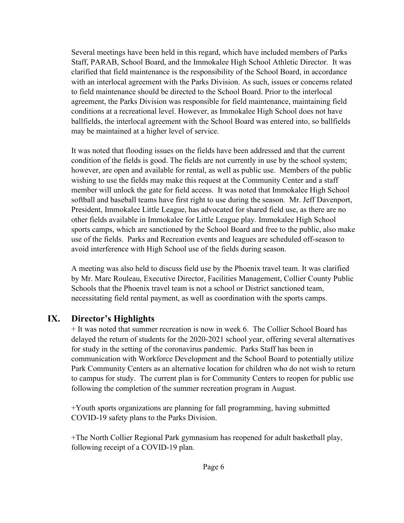Several meetings have been held in this regard, which have included members of Parks Staff, PARAB, School Board, and the Immokalee High School Athletic Director. It was clarified that field maintenance is the responsibility of the School Board, in accordance with an interlocal agreement with the Parks Division. As such, issues or concerns related to field maintenance should be directed to the School Board. Prior to the interlocal agreement, the Parks Division was responsible for field maintenance, maintaining field conditions at a recreational level. However, as Immokalee High School does not have ballfields, the interlocal agreement with the School Board was entered into, so ballfields may be maintained at a higher level of service.

It was noted that flooding issues on the fields have been addressed and that the current condition of the fields is good. The fields are not currently in use by the school system; however, are open and available for rental, as well as public use. Members of the public wishing to use the fields may make this request at the Community Center and a staff member will unlock the gate for field access. It was noted that Immokalee High School softball and baseball teams have first right to use during the season. Mr. Jeff Davenport, President, Immokalee Little League, has advocated for shared field use, as there are no other fields available in Immokalee for Little League play. Immokalee High School sports camps, which are sanctioned by the School Board and free to the public, also make use of the fields. Parks and Recreation events and leagues are scheduled off-season to avoid interference with High School use of the fields during season.

A meeting was also held to discuss field use by the Phoenix travel team. It was clarified by Mr. Marc Rouleau, Executive Director, Facilities Management, Collier County Public Schools that the Phoenix travel team is not a school or District sanctioned team, necessitating field rental payment, as well as coordination with the sports camps.

# **IX. Director's Highlights**

+ It was noted that summer recreation is now in week 6. The Collier School Board has delayed the return of students for the 2020-2021 school year, offering several alternatives for study in the setting of the coronavirus pandemic. Parks Staff has been in communication with Workforce Development and the School Board to potentially utilize Park Community Centers as an alternative location for children who do not wish to return to campus for study. The current plan is for Community Centers to reopen for public use following the completion of the summer recreation program in August.

+Youth sports organizations are planning for fall programming, having submitted COVID-19 safety plans to the Parks Division.

+The North Collier Regional Park gymnasium has reopened for adult basketball play, following receipt of a COVID-19 plan.